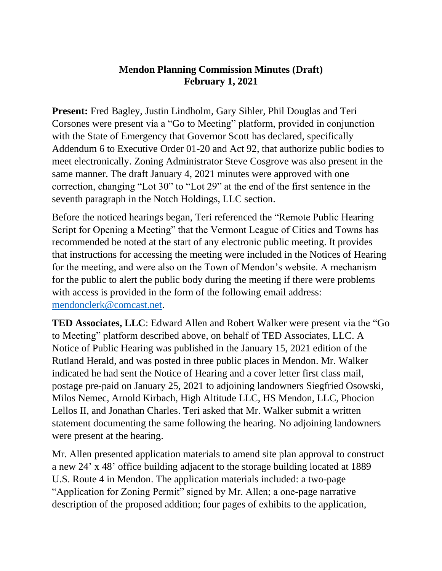## **Mendon Planning Commission Minutes (Draft) February 1, 2021**

**Present:** Fred Bagley, Justin Lindholm, Gary Sihler, Phil Douglas and Teri Corsones were present via a "Go to Meeting" platform, provided in conjunction with the State of Emergency that Governor Scott has declared, specifically Addendum 6 to Executive Order 01-20 and Act 92, that authorize public bodies to meet electronically. Zoning Administrator Steve Cosgrove was also present in the same manner. The draft January 4, 2021 minutes were approved with one correction, changing "Lot 30" to "Lot 29" at the end of the first sentence in the seventh paragraph in the Notch Holdings, LLC section.

Before the noticed hearings began, Teri referenced the "Remote Public Hearing Script for Opening a Meeting" that the Vermont League of Cities and Towns has recommended be noted at the start of any electronic public meeting. It provides that instructions for accessing the meeting were included in the Notices of Hearing for the meeting, and were also on the Town of Mendon's website. A mechanism for the public to alert the public body during the meeting if there were problems with access is provided in the form of the following email address: [mendonclerk@comcast.net.](mailto:mendonclerk@comcast.net)

**TED Associates, LLC**: Edward Allen and Robert Walker were present via the "Go to Meeting" platform described above, on behalf of TED Associates, LLC. A Notice of Public Hearing was published in the January 15, 2021 edition of the Rutland Herald, and was posted in three public places in Mendon. Mr. Walker indicated he had sent the Notice of Hearing and a cover letter first class mail, postage pre-paid on January 25, 2021 to adjoining landowners Siegfried Osowski, Milos Nemec, Arnold Kirbach, High Altitude LLC, HS Mendon, LLC, Phocion Lellos II, and Jonathan Charles. Teri asked that Mr. Walker submit a written statement documenting the same following the hearing. No adjoining landowners were present at the hearing.

Mr. Allen presented application materials to amend site plan approval to construct a new 24' x 48' office building adjacent to the storage building located at 1889 U.S. Route 4 in Mendon. The application materials included: a two-page "Application for Zoning Permit" signed by Mr. Allen; a one-page narrative description of the proposed addition; four pages of exhibits to the application,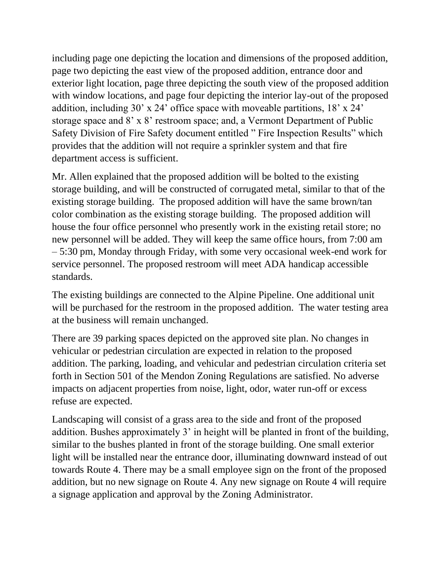including page one depicting the location and dimensions of the proposed addition, page two depicting the east view of the proposed addition, entrance door and exterior light location, page three depicting the south view of the proposed addition with window locations, and page four depicting the interior lay-out of the proposed addition, including 30' x 24' office space with moveable partitions, 18' x 24' storage space and 8' x 8' restroom space; and, a Vermont Department of Public Safety Division of Fire Safety document entitled " Fire Inspection Results" which provides that the addition will not require a sprinkler system and that fire department access is sufficient.

Mr. Allen explained that the proposed addition will be bolted to the existing storage building, and will be constructed of corrugated metal, similar to that of the existing storage building. The proposed addition will have the same brown/tan color combination as the existing storage building. The proposed addition will house the four office personnel who presently work in the existing retail store; no new personnel will be added. They will keep the same office hours, from 7:00 am – 5:30 pm, Monday through Friday, with some very occasional week-end work for service personnel. The proposed restroom will meet ADA handicap accessible standards.

The existing buildings are connected to the Alpine Pipeline. One additional unit will be purchased for the restroom in the proposed addition. The water testing area at the business will remain unchanged.

There are 39 parking spaces depicted on the approved site plan. No changes in vehicular or pedestrian circulation are expected in relation to the proposed addition. The parking, loading, and vehicular and pedestrian circulation criteria set forth in Section 501 of the Mendon Zoning Regulations are satisfied. No adverse impacts on adjacent properties from noise, light, odor, water run-off or excess refuse are expected.

Landscaping will consist of a grass area to the side and front of the proposed addition. Bushes approximately 3' in height will be planted in front of the building, similar to the bushes planted in front of the storage building. One small exterior light will be installed near the entrance door, illuminating downward instead of out towards Route 4. There may be a small employee sign on the front of the proposed addition, but no new signage on Route 4. Any new signage on Route 4 will require a signage application and approval by the Zoning Administrator.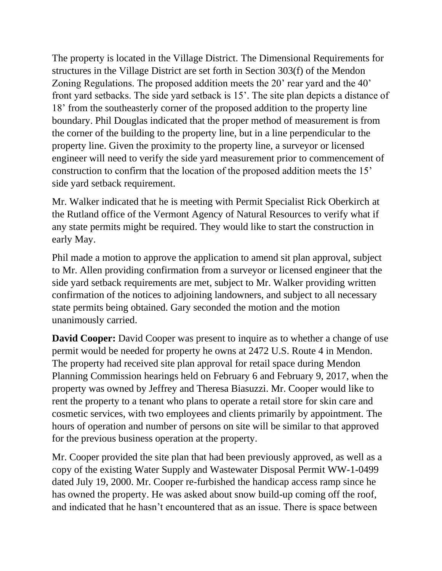The property is located in the Village District. The Dimensional Requirements for structures in the Village District are set forth in Section 303(f) of the Mendon Zoning Regulations. The proposed addition meets the 20' rear yard and the 40' front yard setbacks. The side yard setback is 15'. The site plan depicts a distance of 18' from the southeasterly corner of the proposed addition to the property line boundary. Phil Douglas indicated that the proper method of measurement is from the corner of the building to the property line, but in a line perpendicular to the property line. Given the proximity to the property line, a surveyor or licensed engineer will need to verify the side yard measurement prior to commencement of construction to confirm that the location of the proposed addition meets the 15' side yard setback requirement.

Mr. Walker indicated that he is meeting with Permit Specialist Rick Oberkirch at the Rutland office of the Vermont Agency of Natural Resources to verify what if any state permits might be required. They would like to start the construction in early May.

Phil made a motion to approve the application to amend sit plan approval, subject to Mr. Allen providing confirmation from a surveyor or licensed engineer that the side yard setback requirements are met, subject to Mr. Walker providing written confirmation of the notices to adjoining landowners, and subject to all necessary state permits being obtained. Gary seconded the motion and the motion unanimously carried.

**David Cooper:** David Cooper was present to inquire as to whether a change of use permit would be needed for property he owns at 2472 U.S. Route 4 in Mendon. The property had received site plan approval for retail space during Mendon Planning Commission hearings held on February 6 and February 9, 2017, when the property was owned by Jeffrey and Theresa Biasuzzi. Mr. Cooper would like to rent the property to a tenant who plans to operate a retail store for skin care and cosmetic services, with two employees and clients primarily by appointment. The hours of operation and number of persons on site will be similar to that approved for the previous business operation at the property.

Mr. Cooper provided the site plan that had been previously approved, as well as a copy of the existing Water Supply and Wastewater Disposal Permit WW-1-0499 dated July 19, 2000. Mr. Cooper re-furbished the handicap access ramp since he has owned the property. He was asked about snow build-up coming off the roof, and indicated that he hasn't encountered that as an issue. There is space between